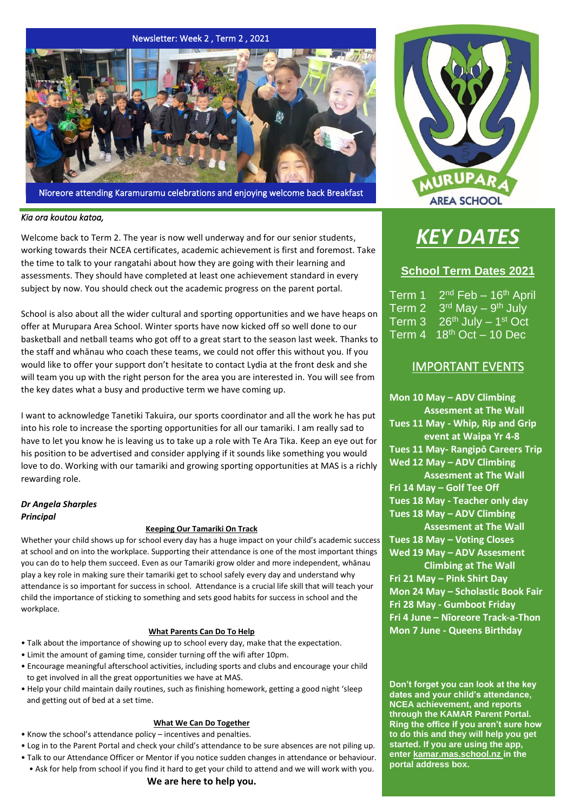

Nīoreore attending Karamuramu celebrations and enjoying welcome back Breakfast

#### *Kia ora koutou katoa,*

Welcome back to Term 2. The year is now well underway and for our senior students, working towards their NCEA certificates, academic achievement is first and foremost. Take the time to talk to your rangatahi about how they are going with their learning and assessments. They should have completed at least one achievement standard in every subject by now. You should check out the academic progress on the parent portal.

School is also about all the wider cultural and sporting opportunities and we have heaps on offer at Murupara Area School. Winter sports have now kicked off so well done to our basketball and netball teams who got off to a great start to the season last week. Thanks to the staff and whānau who coach these teams, we could not offer this without you. If you would like to offer your support don't hesitate to contact Lydia at the front desk and she will team you up with the right person for the area you are interested in. You will see from the key dates what a busy and productive term we have coming up.

I want to acknowledge Tanetiki Takuira, our sports coordinator and all the work he has put into his role to increase the sporting opportunities for all our tamariki. I am really sad to have to let you know he is leaving us to take up a role with Te Ara Tika. Keep an eye out for his position to be advertised and consider applying if it sounds like something you would love to do. Working with our tamariki and growing sporting opportunities at MAS is a richly rewarding role.

### *Dr Angela Sharples Principal*

#### **Keeping Our Tamariki On Track**

Whether your child shows up for school every day has a huge impact on your child's academic success at school and on into the workplace. Supporting their attendance is one of the most important things you can do to help them succeed. Even as our Tamariki grow older and more independent, whānau play a key role in making sure their tamariki get to school safely every day and understand why attendance is so important for success in school. Attendance is a crucial life skill that will teach your child the importance of sticking to something and sets good habits for success in school and the workplace.

#### **What Parents Can Do To Help**

- Talk about the importance of showing up to school every day, make that the expectation.
- Limit the amount of gaming time, consider turning off the wifi after 10pm.
- Encourage meaningful afterschool activities, including sports and clubs and encourage your child to get involved in all the great opportunities we have at MAS.
- Help your child maintain daily routines, such as finishing homework, getting a good night 'sleep and getting out of bed at a set time.

#### **What We Can Do Together**

- Know the school's attendance policy incentives and penalties.
- Log in to the Parent Portal and check your child's attendance to be sure absences are not piling up.
- Talk to our Attendance Officer or Mentor if you notice sudden changes in attendance or behaviour.
- Ask for help from school if you find it hard to get your child to attend and we will work with you. **We are here to help you.**



# *KEY DATES*

## **School Term Dates 2021**

Term 1  $2<sup>nd</sup>$  Feb – 16<sup>th</sup> April Term 2 3<sup>rd</sup> May – 9<sup>th</sup> July Term  $3 \quad 26^{\text{th}}$  July  $-1^{\text{st}}$  Oct Term  $4 \quad 18^{th}$  Oct  $-$  10 Dec

# IMPORTANT EVENTS

**Mon 10 May – ADV Climbing Assesment at The Wall Tues 11 May - Whip, Rip and Grip event at Waipa Yr 4-8 Tues 11 May- Rangipō Careers Trip Wed 12 May – ADV Climbing Assesment at The Wall Fri 14 May – Golf Tee Off Tues 18 May - Teacher only day Tues 18 May – ADV Climbing Assesment at The Wall Tues 18 May – Voting Closes Wed 19 May – ADV Assesment Climbing at The Wall Fri 21 May – Pink Shirt Day Mon 24 May – Scholastic Book Fair Fri 28 May - Gumboot Friday Fri 4 June – Nīoreore Track-a-Thon Mon 7 June - Queens Birthday**

**Don't forget you can look at the key dates and your child's attendance, NCEA achievement, and reports through the KAMAR Parent Portal. Ring the office if you aren't sure how to do this and they will help you get started. If you are using the app, enter kamar.mas.school.nz in the portal address box.**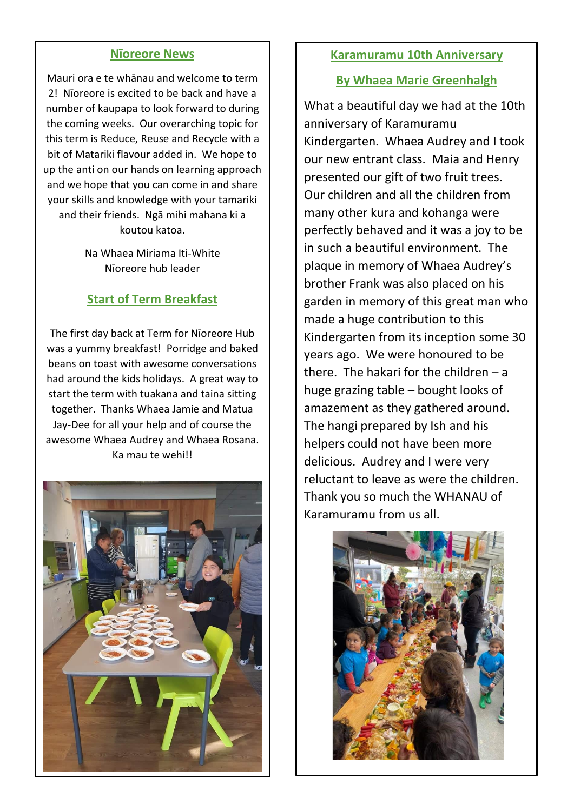## **Nīoreore News**

Mauri ora e te whānau and welcome to term 2! Nīoreore is excited to be back and have a number of kaupapa to look forward to during the coming weeks. Our overarching topic for this term is Reduce, Reuse and Recycle with a bit of Matariki flavour added in. We hope to up the anti on our hands on learning approach and we hope that you can come in and share your skills and knowledge with your tamariki and their friends. Ngā mihi mahana ki a koutou katoa.

> Na Whaea Miriama Iti-White Nīoreore hub leader

# **Start of Term Breakfast**

The first day back at Term for Nīoreore Hub was a yummy breakfast! Porridge and baked beans on toast with awesome conversations had around the kids holidays. A great way to start the term with tuakana and taina sitting together. Thanks Whaea Jamie and Matua Jay-Dee for all your help and of course the awesome Whaea Audrey and Whaea Rosana. Ka mau te wehi!!



## **Karamuramu 10th Anniversary**

## **By Whaea Marie Greenhalgh**

What a beautiful day we had at the 10th anniversary of Karamuramu Kindergarten. Whaea Audrey and I took our new entrant class. Maia and Henry presented our gift of two fruit trees. Our children and all the children from many other kura and kohanga were perfectly behaved and it was a joy to be in such a beautiful environment. The plaque in memory of Whaea Audrey's brother Frank was also placed on his garden in memory of this great man who made a huge contribution to this Kindergarten from its inception some 30 years ago. We were honoured to be there. The hakari for the children  $-$  a huge grazing table – bought looks of amazement as they gathered around. The hangi prepared by Ish and his helpers could not have been more delicious. Audrey and I were very reluctant to leave as were the children. Thank you so much the WHANAU of Karamuramu from us all.

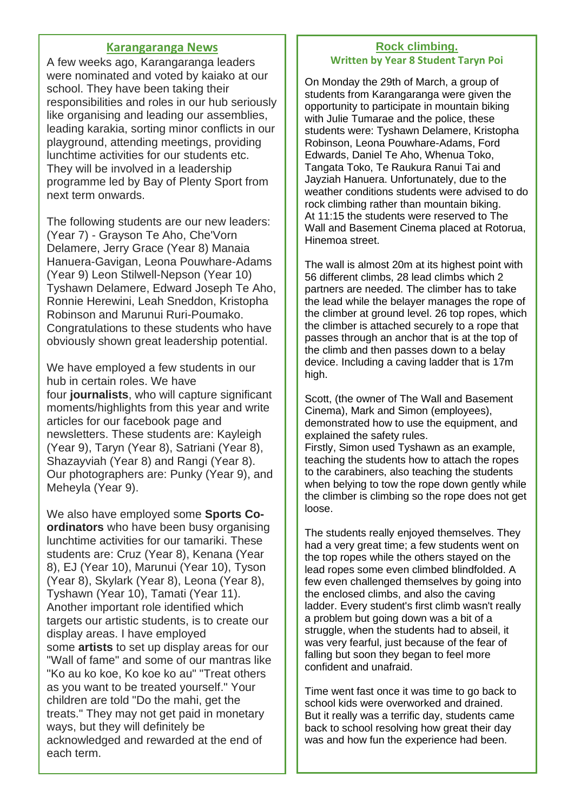## **Karangaranga News**

A few weeks ago, Karangaranga leaders were nominated and voted by kaiako at our school. They have been taking their responsibilities and roles in our hub seriously like organising and leading our assemblies, leading karakia, sorting minor conflicts in our playground, attending meetings, providing lunchtime activities for our students etc. They will be involved in a leadership programme led by Bay of Plenty Sport from next term onwards.

The following students are our new leaders: (Year 7) - Grayson Te Aho, Che'Vorn Delamere, Jerry Grace (Year 8) Manaia Hanuera-Gavigan, Leona Pouwhare-Adams (Year 9) Leon Stilwell-Nepson (Year 10) Tyshawn Delamere, Edward Joseph Te Aho, Ronnie Herewini, Leah Sneddon, Kristopha Robinson and Marunui Ruri-Poumako. Congratulations to these students who have obviously shown great leadership potential.

We have employed a few students in our hub in certain roles. We have four **journalists**, who will capture significant moments/highlights from this year and write articles for our facebook page and newsletters. These students are: Kayleigh (Year 9), Taryn (Year 8), Satriani (Year 8), Shazayviah (Year 8) and Rangi (Year 8). Our photographers are: Punky (Year 9), and Meheyla (Year 9).

We also have employed some **Sports Coordinators** who have been busy organising lunchtime activities for our tamariki. These students are: Cruz (Year 8), Kenana (Year 8), EJ (Year 10), Marunui (Year 10), Tyson (Year 8), Skylark (Year 8), Leona (Year 8), Tyshawn (Year 10), Tamati (Year 11). Another important role identified which targets our artistic students, is to create our display areas. I have employed some **artists** to set up display areas for our "Wall of fame" and some of our mantras like "Ko au ko koe, Ko koe ko au" "Treat others as you want to be treated yourself." Your children are told "Do the mahi, get the treats." They may not get paid in monetary ways, but they will definitely be acknowledged and rewarded at the end of each term.

## **Rock climbing. Written by Year 8 Student Taryn Poi**

On Monday the 29th of March, a group of students from Karangaranga were given the opportunity to participate in mountain biking with Julie Tumarae and the police, these students were: Tyshawn Delamere, Kristopha Robinson, Leona Pouwhare-Adams, Ford Edwards, Daniel Te Aho, Whenua Toko, Tangata Toko, Te Raukura Ranui Tai and Jayziah Hanuera. Unfortunately, due to the weather conditions students were advised to do rock climbing rather than mountain biking. At 11:15 the students were reserved to The Wall and Basement Cinema placed at Rotorua, Hinemoa street.

The wall is almost 20m at its highest point with 56 different climbs, 28 lead climbs which 2 partners are needed. The climber has to take the lead while the belayer manages the rope of the climber at ground level. 26 top ropes, which the climber is attached securely to a rope that passes through an anchor that is at the top of the climb and then passes down to a belay device. Including a caving ladder that is 17m high.

Scott, (the owner of The Wall and Basement Cinema), Mark and Simon (employees), demonstrated how to use the equipment, and explained the safety rules. Firstly, Simon used Tyshawn as an example, teaching the students how to attach the ropes to the carabiners, also teaching the students when belying to tow the rope down gently while

the climber is climbing so the rope does not get

loose.

The students really enjoyed themselves. They had a very great time; a few students went on the top ropes while the others stayed on the lead ropes some even climbed blindfolded. A few even challenged themselves by going into the enclosed climbs, and also the caving ladder. Every student's first climb wasn't really a problem but going down was a bit of a struggle, when the students had to abseil, it was very fearful, just because of the fear of falling but soon they began to feel more confident and unafraid.

Time went fast once it was time to go back to school kids were overworked and drained. But it really was a terrific day, students came back to school resolving how great their day was and how fun the experience had been.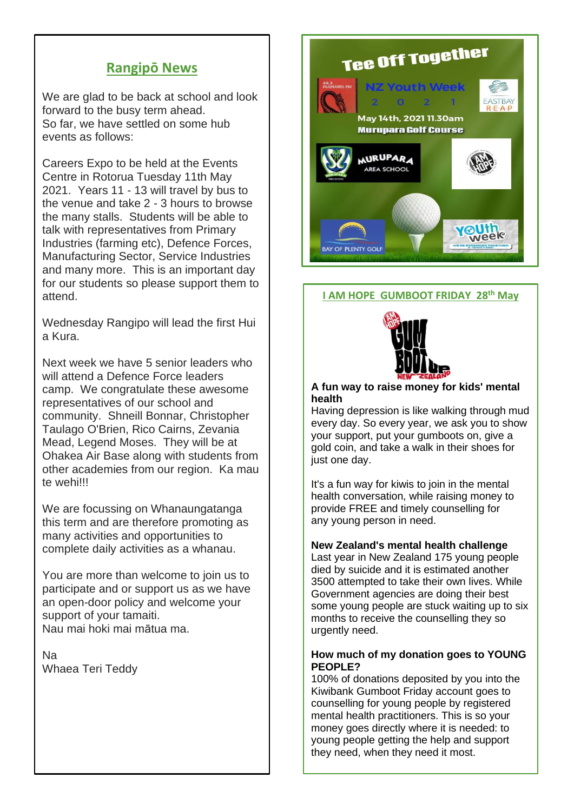# **Rangipō News**

We are glad to be back at school and look forward to the busy term ahead. So far, we have settled on some hub events as follows:

Careers Expo to be held at the Events Centre in Rotorua Tuesday 11th May 2021. Years 11 - 13 will travel by bus to the venue and take 2 - 3 hours to browse the many stalls. Students will be able to talk with representatives from Primary Industries (farming etc), Defence Forces, Manufacturing Sector, Service Industries and many more. This is an important day for our students so please support them to attend.

Wednesday Rangipo will lead the first Hui a Kura.

Next week we have 5 senior leaders who will attend a Defence Force leaders camp. We congratulate these awesome representatives of our school and community. Shneill Bonnar, Christopher Taulago O'Brien, Rico Cairns, Zevania Mead, Legend Moses. They will be at Ohakea Air Base along with students from other academies from our region. Ka mau te wehi!!!

We are focussing on Whanaungatanga this term and are therefore promoting as many activities and opportunities to complete daily activities as a whanau.

You are more than welcome to join us to participate and or support us as we have an open-door policy and welcome your support of your tamaiti. Nau mai hoki mai mātua ma.

Na Whaea Teri Teddy



## **I AM HOPE GUMBOOT FRIDAY 28th May**



#### **A fun way to raise money for kids' mental health**

Having depression is like walking through mud every day. So every year, we ask you to show your support, put your gumboots on, give a gold coin, and take a walk in their shoes for just one day.

It's a fun way for kiwis to join in the mental health conversation, while raising money to provide FREE and timely counselling for any young person in need.

## **New Zealand's mental health challenge**

Last year in New Zealand 175 young people died by suicide and it is estimated another 3500 attempted to take their own lives. While Government agencies are doing their best some young people are stuck waiting up to six months to receive the counselling they so urgently need.

### **How much of my donation goes to YOUNG PEOPLE?**

100% of donations deposited by you into the Kiwibank Gumboot Friday account goes to counselling for young people by registered mental health practitioners. This is so your money goes directly where it is needed: to young people getting the help and support they need, when they need it most.